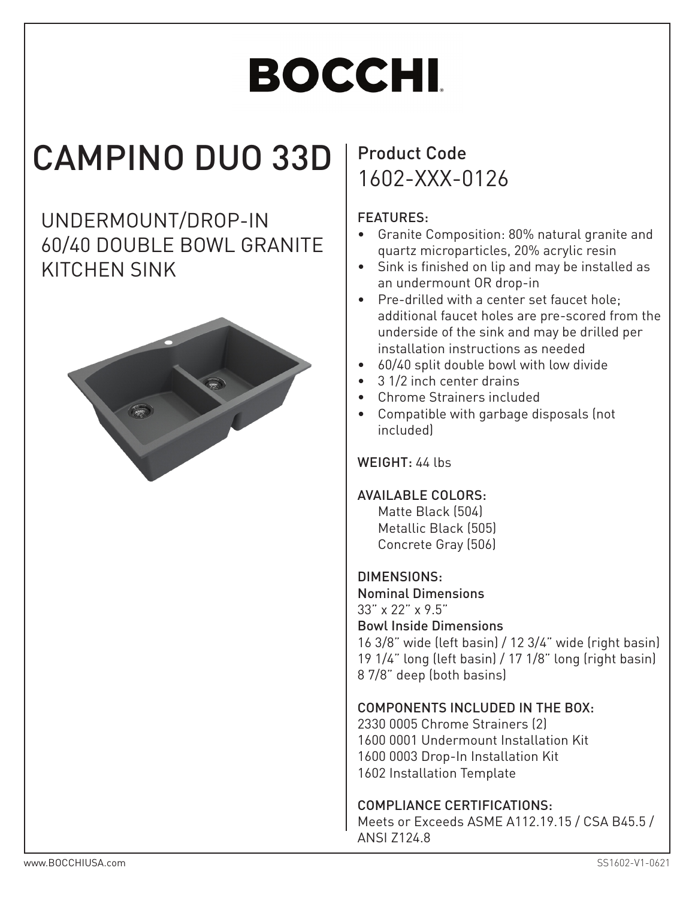# **BOCCHI**

## CAMPINO DUO 33D

UNDERMOUNT/DROP-IN 60/40 DOUBLE BOWL GRANITE KITCHEN SINK



### Product Code 1602-XXX-0126

#### FEATURES:

- Granite Composition: 80% natural granite and quartz microparticles, 20% acrylic resin
- Sink is finished on lip and may be installed as an undermount OR drop-in
- Pre-drilled with a center set faucet hole; additional faucet holes are pre-scored from the underside of the sink and may be drilled per installation instructions as needed
- 60/40 split double bowl with low divide
- 3 1/2 inch center drains
- Chrome Strainers included
- Compatible with garbage disposals (not included)

#### WEIGHT: 44 lbs

#### AVAILABLE COLORS:

Matte Black (504) Metallic Black (505) Concrete Gray (506)

#### DIMENSIONS:

Nominal Dimensions 33" x 22" x 9.5" Bowl Inside Dimensions 16 3/8" wide (left basin) / 12 3/4" wide (right basin) 19 1/4" long (left basin) / 17 1/8" long (right basin) 8 7/8" deep (both basins)

#### COMPONENTS INCLUDED IN THE BOX:

2330 0005 Chrome Strainers (2) 1600 0001 Undermount Installation Kit 1600 0003 Drop-In Installation Kit 1602 Installation Template

#### COMPLIANCE CERTIFICATIONS:

Meets or Exceeds ASME A112.19.15 / CSA B45.5 / ANSI Z124.8